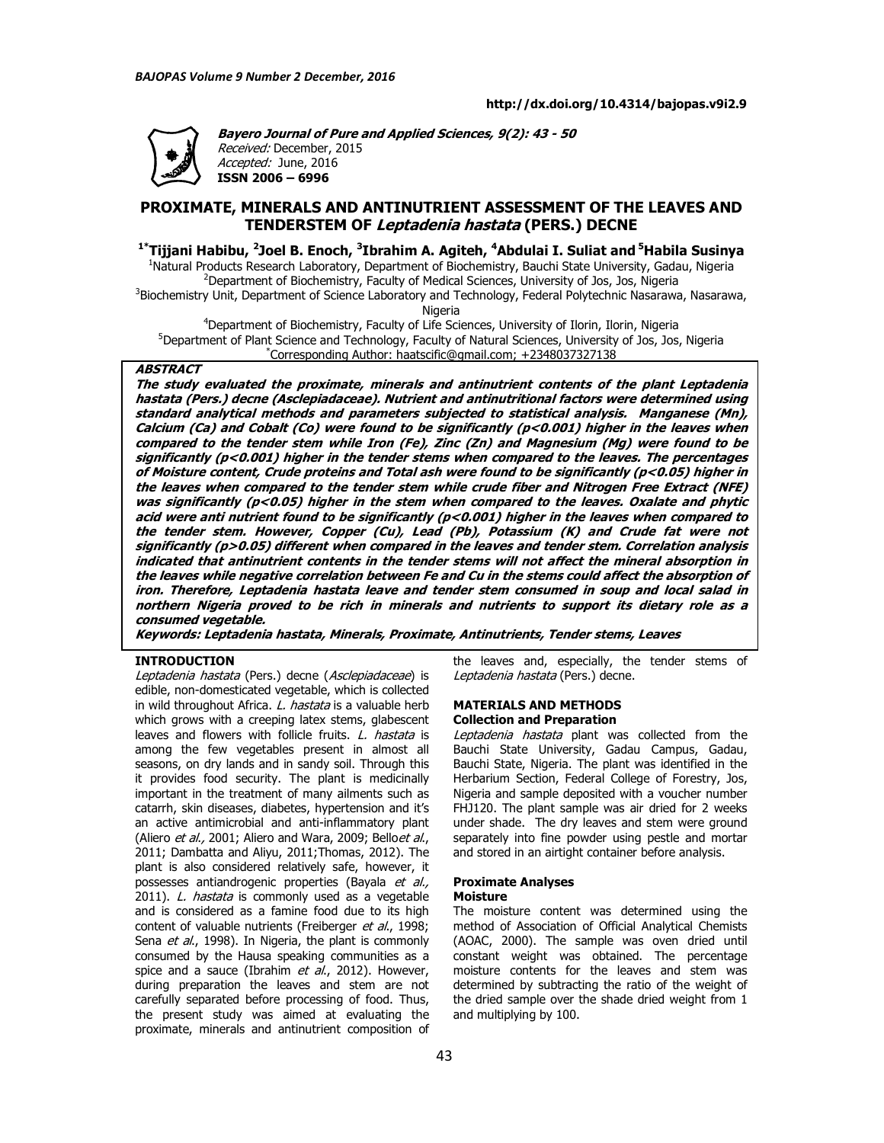

**Bayero Journal of Pure and Applied Sciences, 9(2): 43 - 50**  Received: December, 2015 Accepted: June, 2016 **ISSN 2006 – 6996** 

# **PROXIMATE, MINERALS AND ANTINUTRIENT ASSESSMENT OF THE LEAVES AND TENDERSTEM OF Leptadenia hastata (PERS.) DECNE**

**1\*Tijjani Habibu, <sup>2</sup> Joel B. Enoch, <sup>3</sup> Ibrahim A. Agiteh, <sup>4</sup>Abdulai I. Suliat and<sup>5</sup>Habila Susinya** 

<sup>1</sup>Natural Products Research Laboratory, Department of Biochemistry, Bauchi State University, Gadau, Nigeria <sup>2</sup>Department of Biochemistry, Faculty of Medical Sciences, University of Jos, Jos, Nigeria

<sup>3</sup>Biochemistry Unit, Department of Science Laboratory and Technology, Federal Polytechnic Nasarawa, Nasarawa, Nigeria

<sup>4</sup>Department of Biochemistry, Faculty of Life Sciences, University of Ilorin, Ilorin, Nigeria <sup>5</sup>Department of Plant Science and Technology, Faculty of Natural Sciences, University of Jos, Jos, Nigeria \*Corresponding Author: haatscific@gmail.com; +2348037327138

# **ABSTRACT**

**The study evaluated the proximate, minerals and antinutrient contents of the plant Leptadenia hastata (Pers.) decne (Asclepiadaceae). Nutrient and antinutritional factors were determined using standard analytical methods and parameters subjected to statistical analysis. Manganese (Mn), Calcium (Ca) and Cobalt (Co) were found to be significantly (p<0.001) higher in the leaves when compared to the tender stem while Iron (Fe), Zinc (Zn) and Magnesium (Mg) were found to be significantly (p<0.001) higher in the tender stems when compared to the leaves. The percentages of Moisture content, Crude proteins and Total ash were found to be significantly (p<0.05) higher in the leaves when compared to the tender stem while crude fiber and Nitrogen Free Extract (NFE) was significantly (p<0.05) higher in the stem when compared to the leaves. Oxalate and phytic acid were anti nutrient found to be significantly (p<0.001) higher in the leaves when compared to the tender stem. However, Copper (Cu), Lead (Pb), Potassium (K) and Crude fat were not significantly (p>0.05) different when compared in the leaves and tender stem. Correlation analysis indicated that antinutrient contents in the tender stems will not affect the mineral absorption in the leaves while negative correlation between Fe and Cu in the stems could affect the absorption of iron. Therefore, Leptadenia hastata leave and tender stem consumed in soup and local salad in northern Nigeria proved to be rich in minerals and nutrients to support its dietary role as a consumed vegetable.** 

**Keywords: Leptadenia hastata, Minerals, Proximate, Antinutrients, Tender stems, Leaves** 

### **INTRODUCTION**

Leptadenia hastata (Pers.) decne (Asclepiadaceae) is edible, non-domesticated vegetable, which is collected in wild throughout Africa. L. hastata is a valuable herb which grows with a creeping latex stems, glabescent leaves and flowers with follicle fruits. *L. hastata* is among the few vegetables present in almost all seasons, on dry lands and in sandy soil. Through this it provides food security. The plant is medicinally important in the treatment of many ailments such as catarrh, skin diseases, diabetes, hypertension and it's an active antimicrobial and anti-inflammatory plant (Aliero et al., 2001; Aliero and Wara, 2009; Bello et al., 2011; Dambatta and Aliyu, 2011;Thomas, 2012). The plant is also considered relatively safe, however, it possesses antiandrogenic properties (Bayala et al., 2011). L. hastata is commonly used as a vegetable and is considered as a famine food due to its high content of valuable nutrients (Freiberger et al., 1998; Sena *et al.*, 1998). In Nigeria, the plant is commonly consumed by the Hausa speaking communities as a spice and a sauce (Ibrahim et al., 2012). However, during preparation the leaves and stem are not carefully separated before processing of food. Thus, the present study was aimed at evaluating the proximate, minerals and antinutrient composition of

the leaves and, especially, the tender stems of Leptadenia hastata (Pers.) decne.

### **MATERIALS AND METHODS Collection and Preparation**

Leptadenia hastata plant was collected from the Bauchi State University, Gadau Campus, Gadau, Bauchi State, Nigeria. The plant was identified in the Herbarium Section, Federal College of Forestry, Jos, Nigeria and sample deposited with a voucher number FHJ120. The plant sample was air dried for 2 weeks under shade. The dry leaves and stem were ground separately into fine powder using pestle and mortar and stored in an airtight container before analysis.

### **Proximate Analyses Moisture**

The moisture content was determined using the method of Association of Official Analytical Chemists (AOAC, 2000). The sample was oven dried until constant weight was obtained. The percentage moisture contents for the leaves and stem was determined by subtracting the ratio of the weight of the dried sample over the shade dried weight from 1 and multiplying by 100.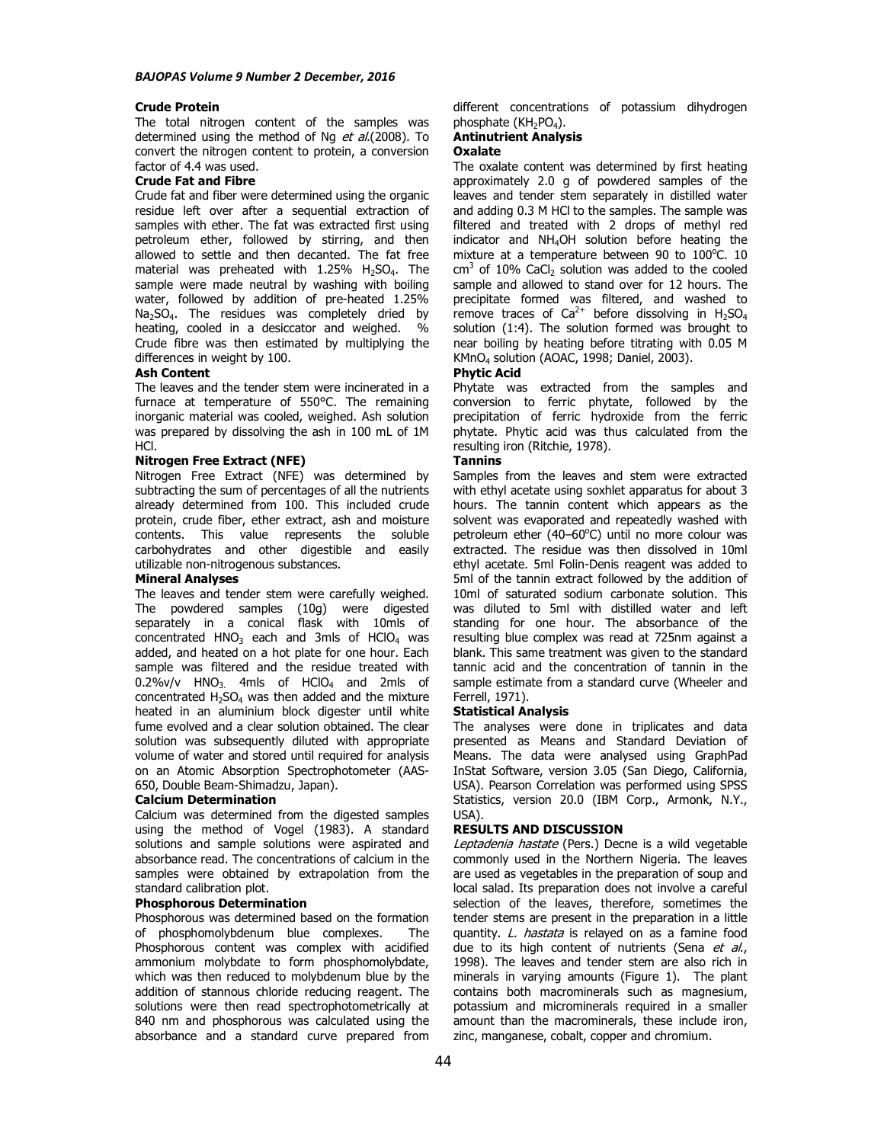# **Crude Protein**

The total nitrogen content of the samples was determined using the method of Ng et al.(2008). To convert the nitrogen content to protein, a conversion factor of 4.4 was used.

### **Crude Fat and Fibre**

Crude fat and fiber were determined using the organic residue left over after a sequential extraction of samples with ether. The fat was extracted first using petroleum ether, followed by stirring, and then allowed to settle and then decanted. The fat free material was preheated with  $1.25\%$  H<sub>2</sub>SO<sub>4</sub>. The sample were made neutral by washing with boiling water, followed by addition of pre-heated 1.25%  $Na<sub>2</sub>SO<sub>4</sub>$ . The residues was completely dried by heating, cooled in a desiccator and weighed. % Crude fibre was then estimated by multiplying the differences in weight by 100.

### **Ash Content**

The leaves and the tender stem were incinerated in a furnace at temperature of 550°C. The remaining inorganic material was cooled, weighed. Ash solution was prepared by dissolving the ash in 100 mL of 1M HCl.

## **Nitrogen Free Extract (NFE)**

Nitrogen Free Extract (NFE) was determined by subtracting the sum of percentages of all the nutrients already determined from 100. This included crude protein, crude fiber, ether extract, ash and moisture contents. This value represents the soluble carbohydrates and other digestible and easily utilizable non-nitrogenous substances.

# **Mineral Analyses**

The leaves and tender stem were carefully weighed. The powdered samples (10g) were digested separately in a conical flask with 10mls of concentrated  $HNO<sub>3</sub>$  each and 3mls of  $HClO<sub>4</sub>$  was added, and heated on a hot plate for one hour. Each sample was filtered and the residue treated with  $0.2\%$ v/v HNO<sub>3</sub> 4mls of HClO<sub>4</sub> and 2mls of concentrated  $H_2SO_4$  was then added and the mixture heated in an aluminium block digester until white fume evolved and a clear solution obtained. The clear solution was subsequently diluted with appropriate volume of water and stored until required for analysis on an Atomic Absorption Spectrophotometer (AAS-650, Double Beam-Shimadzu, Japan).

## **Calcium Determination**

Calcium was determined from the digested samples using the method of Vogel (1983). A standard solutions and sample solutions were aspirated and absorbance read. The concentrations of calcium in the samples were obtained by extrapolation from the standard calibration plot.

# **Phosphorous Determination**

Phosphorous was determined based on the formation of phosphomolybdenum blue complexes. The Phosphorous content was complex with acidified ammonium molybdate to form phosphomolybdate, which was then reduced to molybdenum blue by the addition of stannous chloride reducing reagent. The solutions were then read spectrophotometrically at 840 nm and phosphorous was calculated using the absorbance and a standard curve prepared from

different concentrations of potassium dihydrogen phosphate (KH<sub>2</sub>PO<sub>4</sub>).

# **Antinutrient Analysis**

# **Oxalate**

The oxalate content was determined by first heating approximately 2.0 g of powdered samples of the leaves and tender stem separately in distilled water and adding 0.3 M HCl to the samples. The sample was filtered and treated with 2 drops of methyl red indicator and NH4OH solution before heating the mixture at a temperature between 90 to  $100^{\circ}$ C. 10  $\text{cm}^3$  of 10% CaCl<sub>2</sub> solution was added to the cooled sample and allowed to stand over for 12 hours. The precipitate formed was filtered, and washed to remove traces of  $Ca^{2+}$  before dissolving in H<sub>2</sub>SO<sub>4</sub> solution (1:4). The solution formed was brought to near boiling by heating before titrating with 0.05 M KMnO<sup>4</sup> solution (AOAC, 1998; Daniel, 2003).

# **Phytic Acid**

Phytate was extracted from the samples and conversion to ferric phytate, followed by the precipitation of ferric hydroxide from the ferric phytate. Phytic acid was thus calculated from the resulting iron (Ritchie, 1978).

# **Tannins**

Samples from the leaves and stem were extracted with ethyl acetate using soxhlet apparatus for about 3 hours. The tannin content which appears as the solvent was evaporated and repeatedly washed with petroleum ether  $(40-60^{\circ}C)$  until no more colour was extracted. The residue was then dissolved in 10ml ethyl acetate. 5ml Folin-Denis reagent was added to 5ml of the tannin extract followed by the addition of 10ml of saturated sodium carbonate solution. This was diluted to 5ml with distilled water and left standing for one hour. The absorbance of the resulting blue complex was read at 725nm against a blank. This same treatment was given to the standard tannic acid and the concentration of tannin in the sample estimate from a standard curve (Wheeler and Ferrell, 1971).

### **Statistical Analysis**

The analyses were done in triplicates and data presented as Means and Standard Deviation of .<br>Means. The data were analysed using GraphPad InStat Software, version 3.05 (San Diego, California, USA). Pearson Correlation was performed using SPSS Statistics, version 20.0 (IBM Corp., Armonk, N.Y., USA).

### **RESULTS AND DISCUSSION**

Leptadenia hastate (Pers.) Decne is a wild vegetable commonly used in the Northern Nigeria. The leaves are used as vegetables in the preparation of soup and local salad. Its preparation does not involve a careful selection of the leaves, therefore, sometimes the tender stems are present in the preparation in a little quantity. L. hastata is relayed on as a famine food due to its high content of nutrients (Sena et al., 1998). The leaves and tender stem are also rich in minerals in varying amounts (Figure 1). The plant contains both macrominerals such as magnesium, potassium and microminerals required in a smaller amount than the macrominerals, these include iron, zinc, manganese, cobalt, copper and chromium.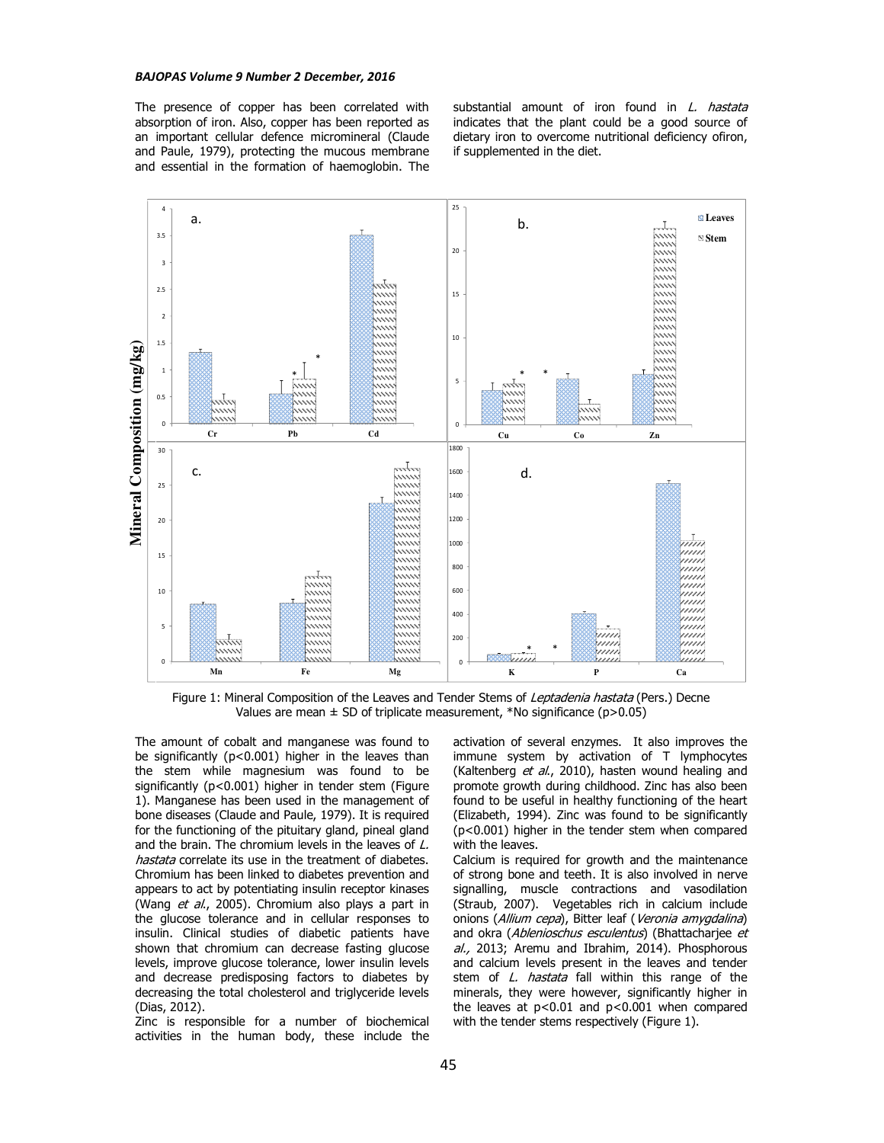### *BAJOPAS Volume 9 Number 2 December, 2016*

The presence of copper has been correlated with absorption of iron. Also, copper has been reported as an important cellular defence micromineral (Claude and Paule, 1979), protecting the mucous membrane and essential in the formation of haemoglobin. The substantial amount of iron found in L. hastata indicates that the plant could be a good source of dietary iron to overcome nutritional deficiency ofiron, if supplemented in the diet.



Figure 1: Mineral Composition of the Leaves and Tender Stems of Leptadenia hastata (Pers.) Decne Values are mean  $\pm$  SD of triplicate measurement, \*No significance (p>0.05)

The amount of cobalt and manganese was found to be significantly (p<0.001) higher in the leaves than the stem while magnesium was found to be significantly (p<0.001) higher in tender stem (Figure 1). Manganese has been used in the management of bone diseases (Claude and Paule, 1979). It is required for the functioning of the pituitary gland, pineal gland and the brain. The chromium levels in the leaves of L. hastata correlate its use in the treatment of diabetes. Chromium has been linked to diabetes prevention and appears to act by potentiating insulin receptor kinases (Wang et al., 2005). Chromium also plays a part in the glucose tolerance and in cellular responses to insulin. Clinical studies of diabetic patients have shown that chromium can decrease fasting glucose levels, improve glucose tolerance, lower insulin levels and decrease predisposing factors to diabetes by decreasing the total cholesterol and triglyceride levels (Dias, 2012).

Zinc is responsible for a number of biochemical activities in the human body, these include the

activation of several enzymes. It also improves the immune system by activation of T lymphocytes (Kaltenberg et al., 2010), hasten wound healing and promote growth during childhood. Zinc has also been found to be useful in healthy functioning of the heart (Elizabeth, 1994). Zinc was found to be significantly (p<0.001) higher in the tender stem when compared with the leaves.

Calcium is required for growth and the maintenance of strong bone and teeth. It is also involved in nerve signalling, muscle contractions and vasodilation (Straub, 2007). Vegetables rich in calcium include onions (Allium cepa), Bitter leaf (Veronia amygdalina) and okra (Ablenioschus esculentus) (Bhattacharjee et al., 2013; Aremu and Ibrahim, 2014). Phosphorous and calcium levels present in the leaves and tender stem of L. hastata fall within this range of the minerals, they were however, significantly higher in the leaves at  $p<0.01$  and  $p<0.001$  when compared with the tender stems respectively (Figure 1).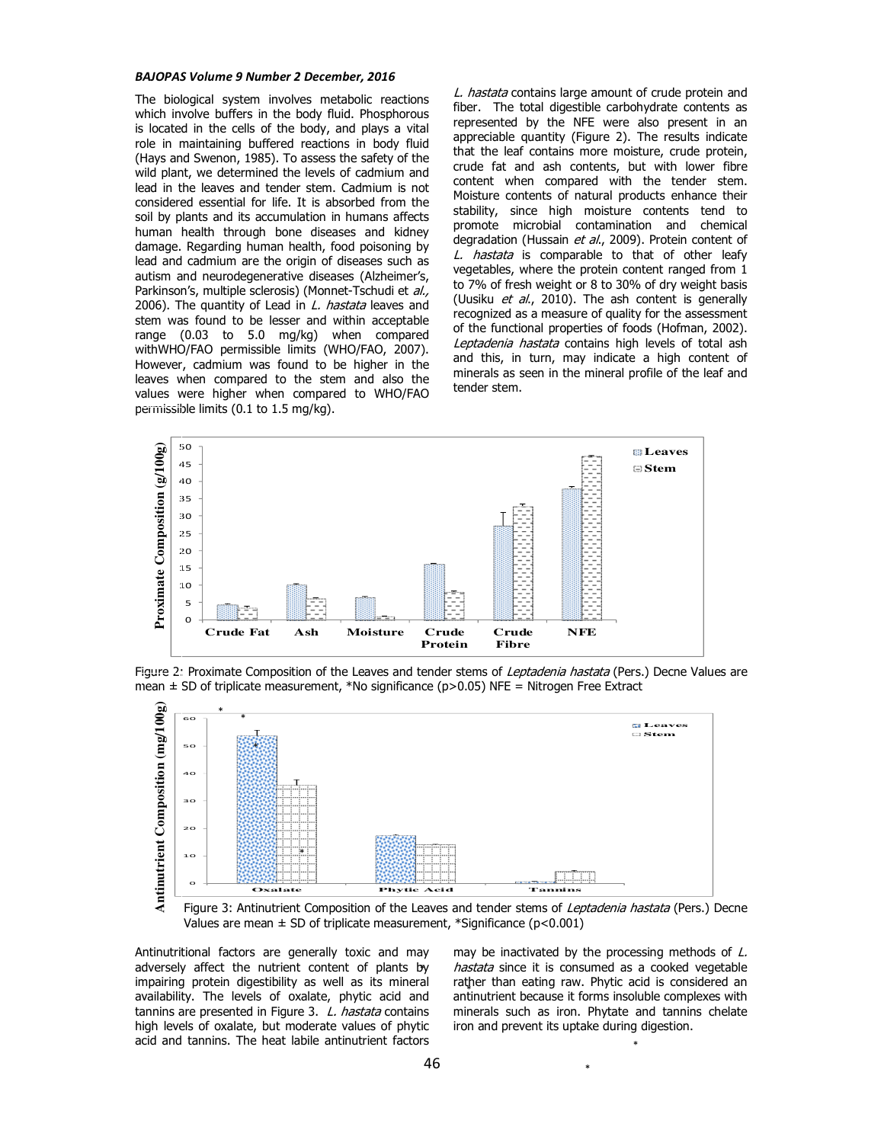### *BAJOPAS Volume 9 Number 2 December, 2016*

The biological system involves metabolic reactions which involve buffers in the body fluid. Phosphorous is located in the cells of the body, and plays a vital role in maintaining buffered reactions in body fluid (Hays and Swenon, 1985). To assess the safety of the wild plant, we determined the levels of cadmium and lead in the leaves and tender stem. Cadmium is not considered essential for life. It is absorbed from the soil by plants and its accumulation in humans affects human health through bone diseases and kidney damage. Regarding human health, food poisoning by lead and cadmium are the origin of diseases such as autism and neurodegenerative diseases (Alzheimer's, Parkinson's, multiple sclerosis) (Monnet-Tschudi et al., 2006). The quantity of Lead in L. hastata leaves and stem was found to be lesser and within acceptable range (0.03 to 5.0 mg/kg) when compared withWHO/FAO permissible limits (WHO/FAO, 2007). However, cadmium was found to be higher in the leaves when compared to the stem and also the values were higher when compared to WHO/FAO permissible limits (0.1 to 1.5 mg/kg).

L. hastata contains large amount of crude protein and fiber. The total digestible carbohydrate contents as represented by the NFE were also present in an appreciable quantity (Figure 2). The results indicate that the leaf contains more moisture, crude protein, crude fat and ash contents, but with lower fibre content when compared with the tender stem. Moisture contents of natural products enhance their stability, since high moisture contents tend to promote microbial contamination and chemical degradation (Hussain et al., 2009). Protein content of L. hastata is comparable to that of other leafy vegetables, where the protein content ranged from 1 to 7% of fresh weight or 8 to 30% of dry weight basis (Uusiku et al., 2010). The ash content is generally recognized as a measure of quality for the assessment of the functional properties of foods (Hofman, 2002). Leptadenia hastata contains high levels of total ash and this, in turn, may indicate a high content of minerals as seen in the mineral profile of the leaf and tender stem.



Figure 2: Proximate Composition of the Leaves and tender stems of Leptadenia hastata (Pers.) Decne Values are mean  $\pm$  SD of triplicate measurement, \*No significance (p>0.05) NFE = Nitrogen Free Extract



Figure 3: Antinutrient Composition of the Leaves and tender stems of Leptadenia hastata (Pers.) Decne Values are mean  $\pm$  SD of triplicate measurement, \*Significance (p<0.001)

Antinutritional factors are generally toxic and may adversely affect the nutrient content of plants by impairing protein digestibility as well as its mineral availability. The levels of oxalate, phytic acid and tannins are presented in Figure 3. L. hastata contains high levels of oxalate, but moderate values of phytic acid and tannins. The heat labile antinutrient factors

may be inactivated by the processing methods of  $L$ . hastata since it is consumed as a cooked vegetable rather than eating raw. Phytic acid is considered an antinutrient because it forms insoluble complexes with minerals such as iron. Phytate and tannins chelate iron and prevent its uptake during digestion.

\*

\*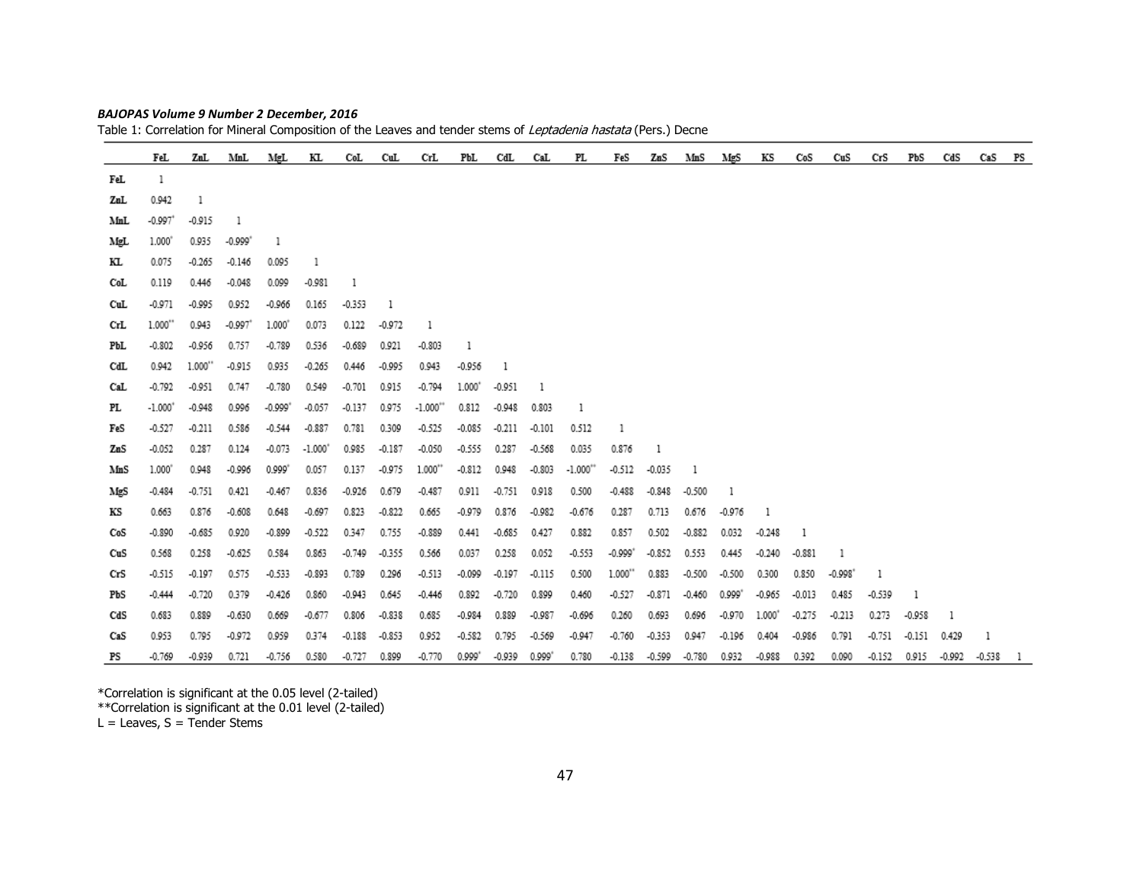|     | FeL                   |          | ZuL MnL               | MgL             | КL        | CoL      | CuL      | CrL        | PbL      | $_{\rm{CdL}}$ | CaL      | PL        | FeS       | ZnS      | MnS      | MgS       | КS       | CoS      | CuS       | CrS      | РbS      | CdS      | CaS      | PS |
|-----|-----------------------|----------|-----------------------|-----------------|-----------|----------|----------|------------|----------|---------------|----------|-----------|-----------|----------|----------|-----------|----------|----------|-----------|----------|----------|----------|----------|----|
| FeL | $\mathbf{1}$          |          |                       |                 |           |          |          |            |          |               |          |           |           |          |          |           |          |          |           |          |          |          |          |    |
| ZaL | 0.942                 | 1        |                       |                 |           |          |          |            |          |               |          |           |           |          |          |           |          |          |           |          |          |          |          |    |
| MnL | $-0.997$ <sup>*</sup> | $-0.915$ | $\mathbf{1}$          |                 |           |          |          |            |          |               |          |           |           |          |          |           |          |          |           |          |          |          |          |    |
| MgL | 1.000                 | 0.935    | $-0.999"$             | 1               |           |          |          |            |          |               |          |           |           |          |          |           |          |          |           |          |          |          |          |    |
| КL  | 0.075                 | $-0.265$ | $-0.146$              | 0.095           | -1        |          |          |            |          |               |          |           |           |          |          |           |          |          |           |          |          |          |          |    |
| CoL | 0.119                 | 0.446    | $-0.048$              | 0.099           | $-0.981$  | -1       |          |            |          |               |          |           |           |          |          |           |          |          |           |          |          |          |          |    |
| CuL | $-0.971$              | $-0.995$ | 0.952                 | $-0.966$        | 0.165     | $-0.353$ | -1       |            |          |               |          |           |           |          |          |           |          |          |           |          |          |          |          |    |
| CrL | 1.000"                | 0.943    | $-0.997$ <sup>*</sup> | $1.000^{\circ}$ | 0.073     | 0.122    | $-0.972$ | -1         |          |               |          |           |           |          |          |           |          |          |           |          |          |          |          |    |
| PЫ. | $-0.802$              | $-0.956$ | 0.757                 | $-0.789$        | 0.536     | $-0.689$ | 0.921    | $-0.803$   | 1        |               |          |           |           |          |          |           |          |          |           |          |          |          |          |    |
| CdL | 0.942                 | 1.000"   | $-0.915$              | 0.935           | $-0.265$  | 0.446    | $-0.995$ | 0.943      | $-0.956$ | 1             |          |           |           |          |          |           |          |          |           |          |          |          |          |    |
| CaL | $-0.792$              | $-0.951$ | 0.747                 | $-0.780$        | 0.549     | $-0.701$ | 0.915    | $-0.794$   | 1.000    | $-0.951$      | -1       |           |           |          |          |           |          |          |           |          |          |          |          |    |
| PL  | $-1.000"$             | $-0.948$ | 0.996                 | $-0.999"$       | $-0.057$  | $-0.137$ | 0.975    | $-1.000**$ | 0.812    | $-0.948$      | 0.803    | 1         |           |          |          |           |          |          |           |          |          |          |          |    |
| FeS | $-0.527$              | $-0.211$ | 0.586                 | $-0.544$        | $-0.887$  | 0.781    | 0.309    | $-0.525$   | $-0.085$ | $-0.211$      | $-0.101$ | 0.512     | 1         |          |          |           |          |          |           |          |          |          |          |    |
| ZnS | $-0.052$              | 0.287    | 0.124                 | $-0.073$        | $-1.000"$ | 0.985    | $-0.187$ | $-0.050$   | $-0.555$ | 0.287         | $-0.568$ | 0.035     | 0.876     | -1       |          |           |          |          |           |          |          |          |          |    |
| MnS | 1.000                 | 0.948    | $-0.996$              | 0.999"          | 0.057     | 0.137    | $-0.975$ | $1.000**$  | $-0.812$ | 0.948         | $-0.803$ | $-1.000"$ | $-0.512$  | $-0.035$ | 1        |           |          |          |           |          |          |          |          |    |
| MgS | $-0.484$              | $-0.751$ | 0.421                 | $-0.467$        | 0.836     | $-0.926$ | 0.679    | $-0.487$   | 0.911    | $-0.751$      | 0.918    | 0.500     | $-0.488$  | $-0.848$ | $-0.500$ | 1         |          |          |           |          |          |          |          |    |
| КS  | 0.663                 | 0.876    | $-0.608$              | 0.648           | $-0.697$  | 0.823    | $-0.822$ | 0.665      | $-0.979$ | 0.876         | $-0.982$ | $-0.676$  | 0.287     | 0.713    | 0.676    | $-0.976$  | 1        |          |           |          |          |          |          |    |
| CoS | $-0.890$              | $-0.685$ | 0.920                 | $-0.899$        | $-0.522$  | 0.347    | 0.755    | $-0.889$   | 0.441    | $-0.685$      | 0.427    | 0.882     | 0.857     | 0.502    | $-0.882$ | 0.032     | $-0.248$ | 1        |           |          |          |          |          |    |
| CuS | 0.568                 | 0.258    | $-0.625$              | 0.584           | 0.863     | $-0.749$ | $-0.355$ | 0.566      | 0.037    | 0.258         | 0.052    | $-0.553$  | $-0.999"$ | $-0.852$ | 0.553    | 0.445     | $-0.240$ | $-0.881$ | 1         |          |          |          |          |    |
| CrS | $-0.515$              | $-0.197$ | 0.575                 | $-0.533$        | $-0.893$  | 0.789    | 0.296    | $-0.513$   | $-0.099$ | $-0.197$      | $-0.115$ | 0.500     | 1.000"    | 0.883    | $-0.500$ | $-0.500$  | 0.300    | 0.850    | $-0.998"$ | 1        |          |          |          |    |
| РbS | $-0.444$              | $-0.720$ | 0.379                 | $-0.426$        | 0.860     | $-0.943$ | 0.645    | $-0.446$   | 0.892    | $-0.720$      | 0.899    | 0.460     | $-0.527$  | $-0.871$ | $-0.460$ | $0.999^*$ | $-0.965$ | $-0.013$ | 0.485     | $-0.539$ | 1        |          |          |    |
| CdS | 0.683                 | 0.889    | $-0.630$              | 0.669           | $-0.677$  | 0.806    | $-0.838$ | 0.685      | $-0.984$ | 0.889         | $-0.987$ | $-0.696$  | 0.260     | 0.693    | 0.696    | $-0.970$  | 1.000"   | $-0.275$ | $-0.213$  | 0.273    | $-0.958$ | 1        |          |    |
| CaS | 0.953                 | 0.795    | $-0.972$              | 0.959           | 0.374     | $-0.188$ | $-0.853$ | 0.952      | $-0.582$ | 0.795         | $-0.569$ | $-0.947$  | $-0.760$  | $-0.353$ | 0.947    | $-0.196$  | 0.404    | $-0.986$ | 0.791     | $-0.751$ | $-0.151$ | 0.429    | 1        |    |
| PS  | $-0.769$              | $-0.939$ | 0.721                 | $-0.756$        | 0.580     | $-0.727$ | 0.899    | $-0.770$   | 0.999"   | -0.939        | 0.999"   | 0.780     | $-0.138$  | $-0.599$ | $-0.780$ | 0.932     | $-0.988$ | 0.392    | 0.090     | $-0.152$ | 0.915    | $-0.992$ | $-0.538$ | -1 |

*BAJOPAS Volume 9 Number 2 December, 2016*Table 1: Correlation for Mineral Composition of the Leaves and tender stems of *Leptadenia hastata* (Pers.) Decne

\*Correlation is significant at the 0.05 level (2-tailed) \*\*Correlation is significant at the 0.01 level (2-tailed) L = Leaves, S = Tender Stems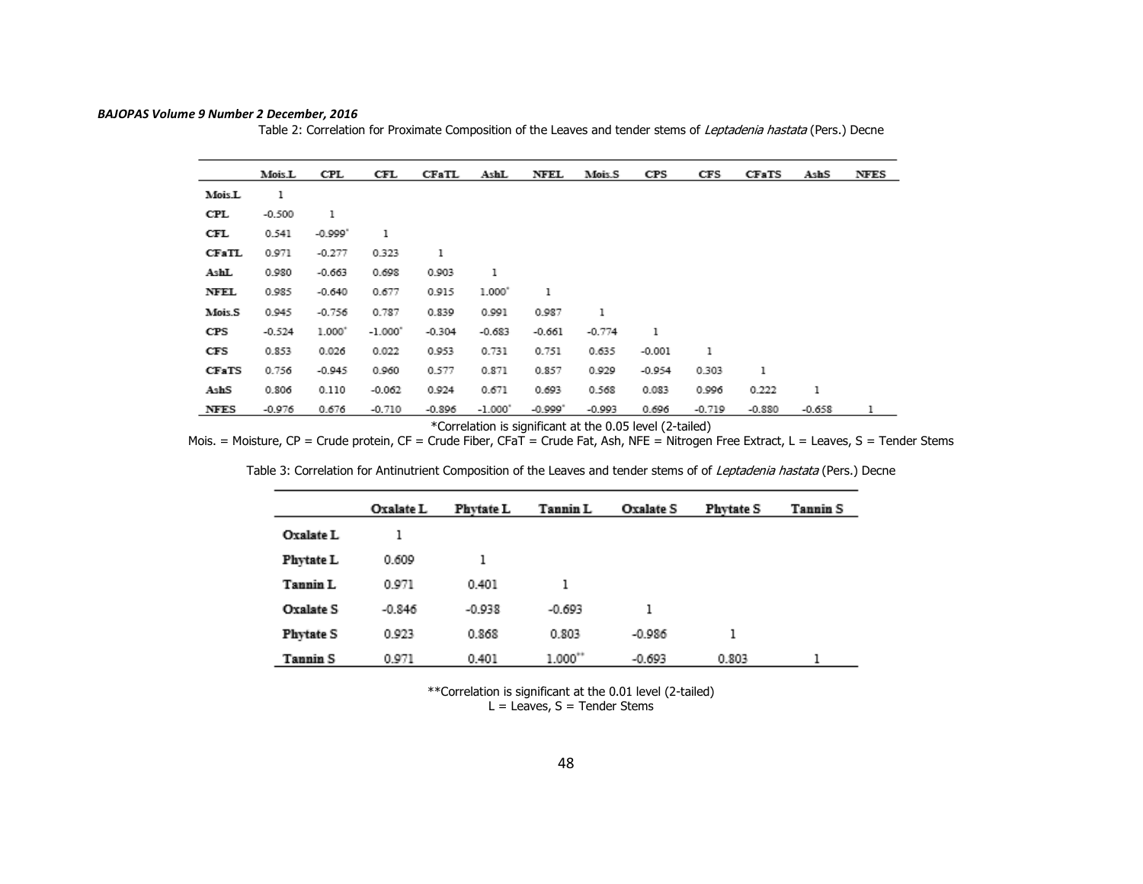|  | BAJOPAS Volume 9 Number 2 December, 2016 |  |  |
|--|------------------------------------------|--|--|
|--|------------------------------------------|--|--|

Table 2: Correlation for Proximate Composition of the Leaves and tender stems of *Leptadenia hastata* (Pers.) Decne

|              | Mois.L   | CPL       | CFL       | <b>CFaTL</b> | AshL      | NFEL      | Mois.S   | CPS      | CFS      | <b>CFaTS</b> | AshS     | <b>NFES</b> |
|--------------|----------|-----------|-----------|--------------|-----------|-----------|----------|----------|----------|--------------|----------|-------------|
| Mois.L       | 1        |           |           |              |           |           |          |          |          |              |          |             |
| CPL          | $-0.500$ | 1         |           |              |           |           |          |          |          |              |          |             |
| CFL          | 0.541    | $-0.999"$ | 1         |              |           |           |          |          |          |              |          |             |
| <b>CFaTL</b> | 0.971    | $-0.277$  | 0.323     | 1            |           |           |          |          |          |              |          |             |
| AshL         | 0.980    | $-0.663$  | 0.698     | 0.903        | 1         |           |          |          |          |              |          |             |
| NFEL         | 0.985    | $-0.640$  | 0.677     | 0.915        | 1.000     | ı         |          |          |          |              |          |             |
| Mois.S       | 0.945    | $-0.756$  | 0.787     | 0.839        | 0.991     | 0.987     | 1        |          |          |              |          |             |
| CPS          | $-0.524$ | $1.000*$  | $-1.000"$ | $-0.304$     | $-0.683$  | $-0.661$  | $-0.774$ | 1        |          |              |          |             |
| CFS          | 0.853    | 0.026     | 0.022     | 0.953        | 0.731     | 0.751     | 0.635    | $-0.001$ | 1        |              |          |             |
| <b>CFaTS</b> | 0.756    | $-0.945$  | 0.960     | 0.577        | 0.871     | 0.857     | 0.929    | $-0.954$ | 0.303    | ı            |          |             |
| AshS         | 0.806    | 0.110     | $-0.062$  | 0.924        | 0.671     | 0.693     | 0.568    | 0.083    | 0.996    | 0.222        | 1        |             |
| <b>NFES</b>  | $-0.976$ | 0.676     | $-0.710$  | $-0.896$     | $-1.000"$ | $-0.999"$ | $-0.993$ | 0.696    | $-0.719$ | $-0.880$     | $-0.658$ |             |

\*Correlation is significant at the 0.05 level (2-tailed)

Mois. = Moisture, CP = Crude protein, CF = Crude Fiber, CFaT = Crude Fat, Ash, NFE = Nitrogen Free Extract, L = Leaves, S = Tender Stems

|                  | Oxalate L | <b>Phytate L</b> | Tannin L | Oxalate S | <b>Phytate S</b> | Tannin S |
|------------------|-----------|------------------|----------|-----------|------------------|----------|
| Oxalate L        |           |                  |          |           |                  |          |
| Phytate L        | 0.609     |                  |          |           |                  |          |
| Tannin L         | 0.971     | 0.401            |          |           |                  |          |
| Oxalate S        | $-0.846$  | $-0.938$         | $-0.693$ |           |                  |          |
| <b>Phytate S</b> | 0.923     | 0.868            | 0.803    | $-0.986$  | ı                |          |
| Tannin S         | 0.971     | 0.401            | 1.000"   | $-0.693$  | 0.803            |          |

Table 3: Correlation for Antinutrient Composition of the Leaves and tender stems of of Leptadenia hastata (Pers.) Decne

\*\*Correlation is significant at the 0.01 level (2-tailed)

 $L =$  Leaves, S = Tender Stems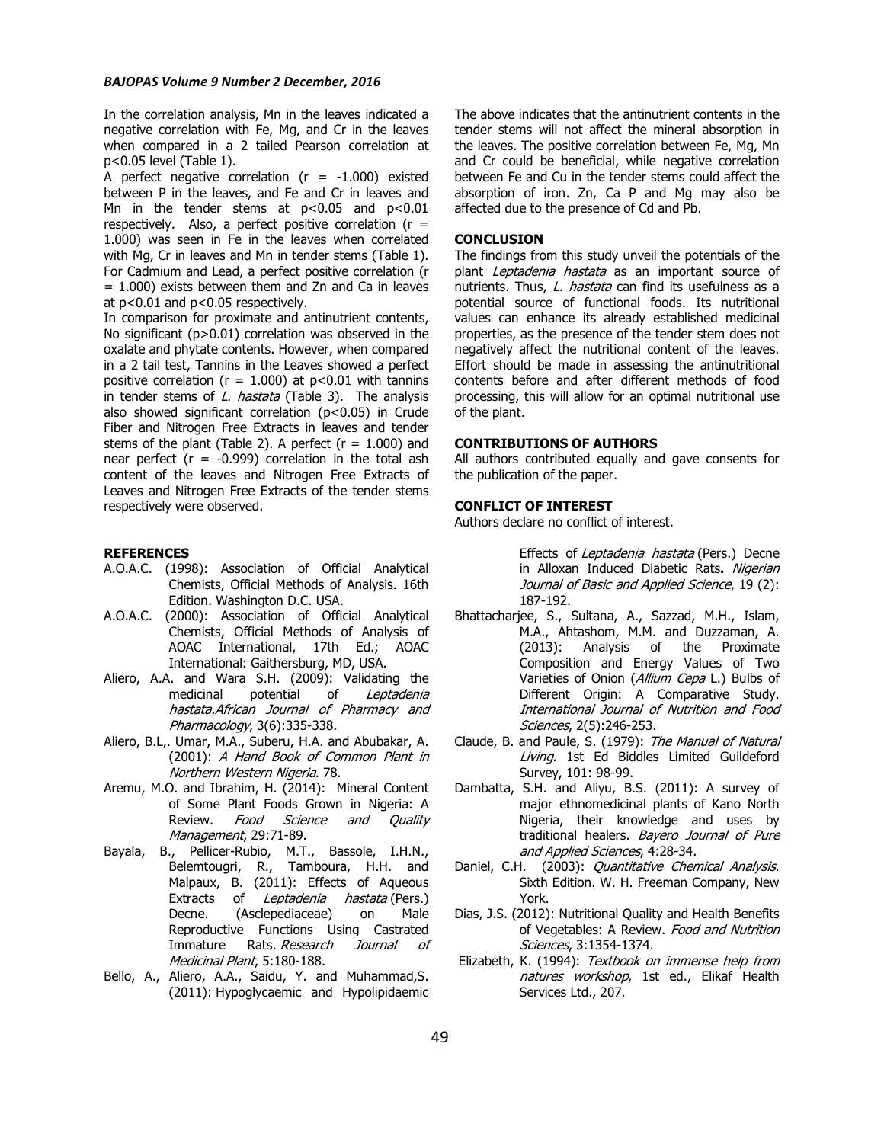### *BAJOPAS Volume 9 Number 2 December, 2016*

In the correlation analysis, Mn in the leaves indicated a negative correlation with Fe, Mg, and Cr in the leaves when compared in a 2 tailed Pearson correlation at p<0.05 level (Table 1).

A perfect negative correlation ( $r = -1.000$ ) existed between P in the leaves, and Fe and Cr in leaves and Mn in the tender stems at  $p < 0.05$  and  $p < 0.01$ respectively. Also, a perfect positive correlation ( $r =$ 1.000) was seen in Fe in the leaves when correlated with Mg, Cr in leaves and Mn in tender stems (Table 1). For Cadmium and Lead, a perfect positive correlation (r  $= 1.000$ ) exists between them and Zn and Ca in leaves at p<0.01 and p<0.05 respectively.

In comparison for proximate and antinutrient contents, No significant (p>0.01) correlation was observed in the oxalate and phytate contents. However, when compared in a 2 tail test, Tannins in the Leaves showed a perfect positive correlation ( $r = 1.000$ ) at  $p < 0.01$  with tannins in tender stems of  $L$ . hastata (Table 3). The analysis also showed significant correlation (p<0.05) in Crude Fiber and Nitrogen Free Extracts in leaves and tender stems of the plant (Table 2). A perfect  $(r = 1.000)$  and near perfect ( $r = -0.999$ ) correlation in the total ash content of the leaves and Nitrogen Free Extracts of Leaves and Nitrogen Free Extracts of the tender stems respectively were observed.

## **REFERENCES**

- A.O.A.C. (1998): Association of Official Analytical Chemists, Official Methods of Analysis. 16th Edition. Washington D.C. USA.
- A.O.A.C. (2000): Association of Official Analytical Chemists, Official Methods of Analysis of AOAC International, 17th Ed.; AOAC International: Gaithersburg, MD, USA.
- Aliero, A.A. and Wara S.H. (2009): Validating the medicinal potential of Leptadenia hastata.African Journal of Pharmacy and Pharmacology, 3(6):335-338.
- Aliero, B.L,. Umar, M.A., Suberu, H.A. and Abubakar, A. (2001): A Hand Book of Common Plant in Northern Western Nigeria. 78.
- Aremu, M.O. and Ibrahim, H. (2014): Mineral Content of Some Plant Foods Grown in Nigeria: A Review. Food Science and Quality Management, 29:71-89.
- Bayala, B., Pellicer-Rubio, M.T., Bassole, I.H.N., Belemtougri, R., Tamboura, H.H. and Malpaux, B. (2011): Effects of Aqueous Extracts of Leptadenia hastata (Pers.) Decne. (Asclepediaceae) on Male Reproductive Functions Using Castrated Immature Rats. Research Journal of Medicinal Plant, 5:180-188.
- Bello, A., Aliero, A.A., Saidu, Y. and Muhammad,S. (2011): Hypoglycaemic and Hypolipidaemic

The above indicates that the antinutrient contents in the tender stems will not affect the mineral absorption in the leaves. The positive correlation between Fe, Mg, Mn and Cr could be beneficial, while negative correlation between Fe and Cu in the tender stems could affect the absorption of iron. Zn, Ca P and Mg may also be affected due to the presence of Cd and Pb.

### **CONCLUSION**

The findings from this study unveil the potentials of the plant Leptadenia hastata as an important source of nutrients. Thus, L. hastata can find its usefulness as a potential source of functional foods. Its nutritional values can enhance its already established medicinal properties, as the presence of the tender stem does not negatively affect the nutritional content of the leaves. Effort should be made in assessing the antinutritional contents before and after different methods of food processing, this will allow for an optimal nutritional use of the plant.

# **CONTRIBUTIONS OF AUTHORS**

All authors contributed equally and gave consents for the publication of the paper.

### **CONFLICT OF INTEREST**

Authors declare no conflict of interest.

Effects of Leptadenia hastata (Pers.) Decne in Alloxan Induced Diabetic Rats**.** Nigerian Journal of Basic and Applied Science, 19 (2): 187-192.

- Bhattacharjee, S., Sultana, A., Sazzad, M.H., Islam, M.A., Ahtashom, M.M. and Duzzaman, A. (2013): Analysis of the Proximate Composition and Energy Values of Two Varieties of Onion (Allium Cepa L.) Bulbs of Different Origin: A Comparative Study. International Journal of Nutrition and Food Sciences, 2(5):246-253.
- Claude, B. and Paule, S. (1979): The Manual of Natural Living. 1st Ed Biddles Limited Guildeford Survey, 101: 98-99.
- Dambatta, S.H. and Aliyu, B.S. (2011): A survey of major ethnomedicinal plants of Kano North Nigeria, their knowledge and uses by traditional healers. Bayero Journal of Pure and Applied Sciences, 4:28-34.
- Daniel, C.H. (2003): Quantitative Chemical Analysis. Sixth Edition. W. H. Freeman Company, New York.
- Dias, J.S. (2012): Nutritional Quality and Health Benefits of Vegetables: A Review. Food and Nutrition Sciences, 3:1354-1374.
- Elizabeth, K. (1994): Textbook on immense help from natures workshop, 1st ed., Elikaf Health Services Ltd., 207.